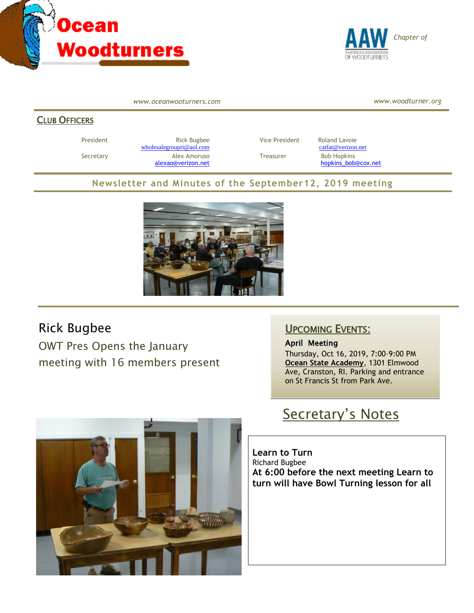



*www.oceanwooturners.com*

*www.woodturner.org*

#### CLUB OFFICERS

President **Rick Bugbee Rick Bugbee** Vice President Roland Lavoie [wholesalegroupri@aol.com](mailto:wholesalegroupri@aol.com) [catfat@verizon.net](mailto:catfat@verizon.net) Secretary **Alex Amoruso** Treasurer Bob Hopkins

[alexao@verizon.net](mailto:alexao@verizon.net) [hopkins\\_bob@cox.net](mailto:hopkins_bob@cox.net)

### **Newsletter and Minutes of the September12, 2019 meeting**



### Rick Bugbee

OWT Pres Opens the January meeting with 16 members present

### UPCOMING EVENTS:

April Meeting Thursday, Oct 16, 2019, 7:00–9:00 PM **Ocean State Academy**, 1301 Elmwood Ave, Cranston, RI. Parking and entrance on St Francis St from Park Ave.



**Learn to Turn** Richard Bugbee **At 6:00 before the next meeting Learn to turn will have Bowl Turning lesson for all**

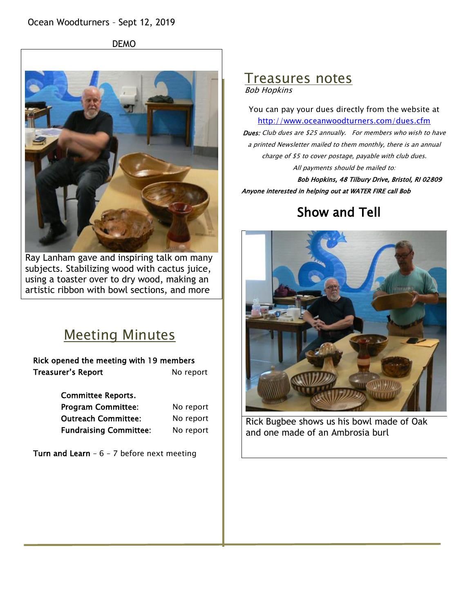DEMO



Ray Lanham gave and inspiring talk om many subjects. Stabilizing wood with cactus juice, using a toaster over to dry wood, making an artistic ribbon with bowl sections, and more

# Meeting Minutes

Rick opened the meeting with 19 members Treasurer's Report No report

Committee Reports.

Program Committee: No report Outreach Committee: No report Fundraising Committee: No report

Turn and Learn -  $6 - 7$  before next meeting

### Treasures notes Bob Hopkins

You can pay your dues directly from the website at <http://www.oceanwoodturners.com/dues.cfm> Dues: Club dues are \$25 annually. For members who wish to have a printed Newsletter mailed to them monthly, there is an annual charge of \$5 to cover postage, payable with club dues.

All payments should be mailed to:

Bob Hopkins, 48 Tilbury Drive, Bristol, RI 02809 Anyone interested in helping out at WATER FIRE call Bob

# Show and Tell



Rick Bugbee shows us his bowl made of Oak and one made of an Ambrosia burl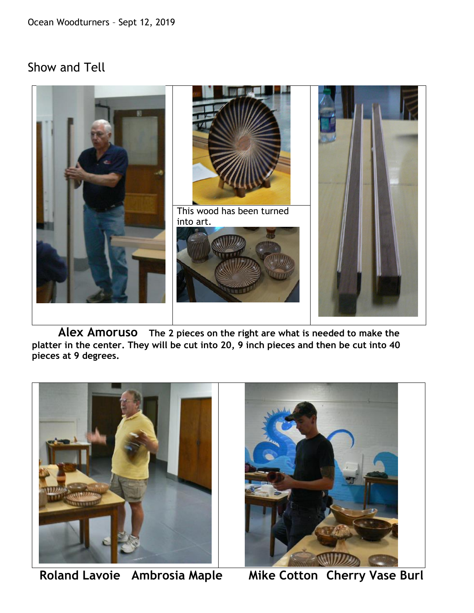## Show and Tell



 **Alex Amoruso The 2 pieces on the right are what is needed to make the platter in the center. They will be cut into 20, 9 inch pieces and then be cut into 40 pieces at 9 degrees.**



**Roland Lavoie Ambrosia Maple Mike Cotton Cherry Vase Burl** 

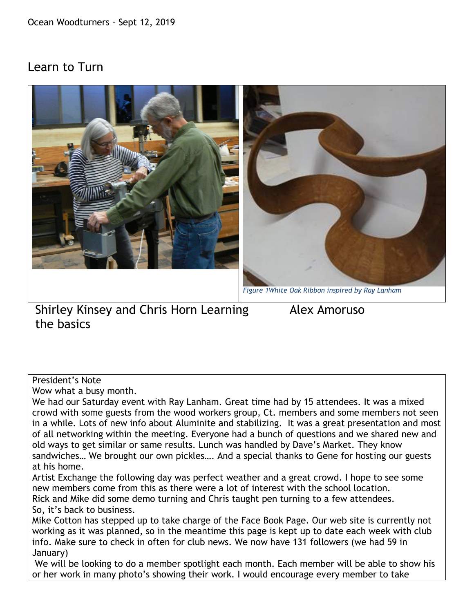## Learn to Turn



Shirley Kinsey and Chris Horn Learning Alex Amoruso the basics

#### President's Note

Wow what a busy month.

We had our Saturday event with Ray Lanham. Great time had by 15 attendees. It was a mixed crowd with some guests from the wood workers group, Ct. members and some members not seen in a while. Lots of new info about Aluminite and stabilizing. It was a great presentation and most of all networking within the meeting. Everyone had a bunch of questions and we shared new and old ways to get similar or same results. Lunch was handled by Dave's Market. They know sandwiches… We brought our own pickles…. And a special thanks to Gene for hosting our guests at his home.

Artist Exchange the following day was perfect weather and a great crowd. I hope to see some new members come from this as there were a lot of interest with the school location.

Rick and Mike did some demo turning and Chris taught pen turning to a few attendees. So, it's back to business.

Mike Cotton has stepped up to take charge of the Face Book Page. Our web site is currently not working as it was planned, so in the meantime this page is kept up to date each week with club info. Make sure to check in often for club news. We now have 131 followers (we had 59 in January)

We will be looking to do a member spotlight each month. Each member will be able to show his or her work in many photo's showing their work. I would encourage every member to take